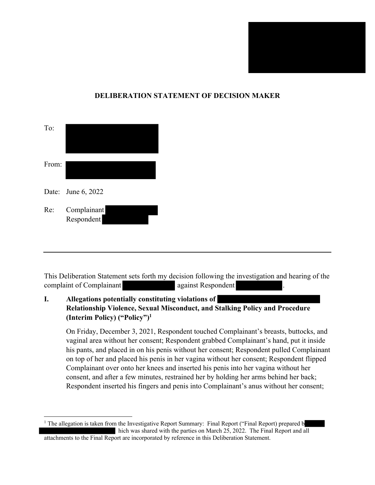

### **DELIBERATION STATEMENT OF DECISION MAKER**

| To:   |                           |
|-------|---------------------------|
| From: |                           |
|       | Date: June 6, 2022        |
| Re:   | Complainant<br>Respondent |

This Deliberation Statement sets forth my decision following the investigation and hearing of the complaint of Complainant **against Respondent** 

## **I. Allegations potentially constituting violations of Relationship Violence, Sexual Misconduct, and Stalking Policy and Procedure (Interim Policy) ("Policy")1**

On Friday, December 3, 2021, Respondent touched Complainant's breasts, buttocks, and vaginal area without her consent; Respondent grabbed Complainant's hand, put it inside his pants, and placed in on his penis without her consent; Respondent pulled Complainant on top of her and placed his penis in her vagina without her consent; Respondent flipped Complainant over onto her knees and inserted his penis into her vagina without her consent, and after a few minutes, restrained her by holding her arms behind her back; Respondent inserted his fingers and penis into Complainant's anus without her consent;

<sup>&</sup>lt;sup>1</sup> The allegation is taken from the Investigative Report Summary: Final Report ("Final Report) prepared b hich was shared with the parties on March 25, 2022. The Final Report and all attachments to the Final Report are incorporated by reference in this Deliberation Statement.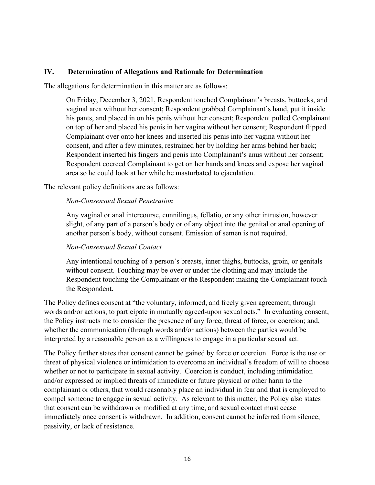#### **IV. Determination of Allegations and Rationale for Determination**

The allegations for determination in this matter are as follows:

On Friday, December 3, 2021, Respondent touched Complainant's breasts, buttocks, and vaginal area without her consent; Respondent grabbed Complainant's hand, put it inside his pants, and placed in on his penis without her consent; Respondent pulled Complainant on top of her and placed his penis in her vagina without her consent; Respondent flipped Complainant over onto her knees and inserted his penis into her vagina without her consent, and after a few minutes, restrained her by holding her arms behind her back; Respondent inserted his fingers and penis into Complainant's anus without her consent; Respondent coerced Complainant to get on her hands and knees and expose her vaginal area so he could look at her while he masturbated to ejaculation.

The relevant policy definitions are as follows:

#### *Non-Consensual Sexual Penetration*

Any vaginal or anal intercourse, cunnilingus, fellatio, or any other intrusion, however slight, of any part of a person's body or of any object into the genital or anal opening of another person's body, without consent. Emission of semen is not required.

#### *Non-Consensual Sexual Contact*

Any intentional touching of a person's breasts, inner thighs, buttocks, groin, or genitals without consent. Touching may be over or under the clothing and may include the Respondent touching the Complainant or the Respondent making the Complainant touch the Respondent.

The Policy defines consent at "the voluntary, informed, and freely given agreement, through words and/or actions, to participate in mutually agreed-upon sexual acts." In evaluating consent, the Policy instructs me to consider the presence of any force, threat of force, or coercion; and, whether the communication (through words and/or actions) between the parties would be interpreted by a reasonable person as a willingness to engage in a particular sexual act.

The Policy further states that consent cannot be gained by force or coercion. Force is the use or threat of physical violence or intimidation to overcome an individual's freedom of will to choose whether or not to participate in sexual activity. Coercion is conduct, including intimidation and/or expressed or implied threats of immediate or future physical or other harm to the complainant or others, that would reasonably place an individual in fear and that is employed to compel someone to engage in sexual activity. As relevant to this matter, the Policy also states that consent can be withdrawn or modified at any time, and sexual contact must cease immediately once consent is withdrawn. In addition, consent cannot be inferred from silence, passivity, or lack of resistance.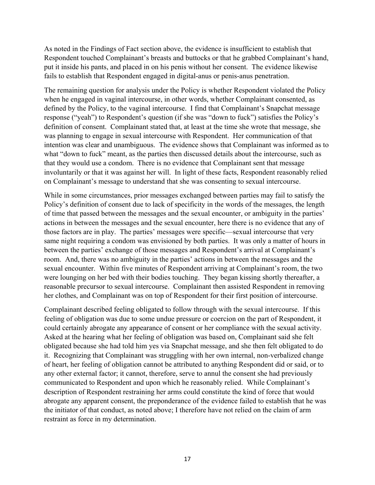As noted in the Findings of Fact section above, the evidence is insufficient to establish that Respondent touched Complainant's breasts and buttocks or that he grabbed Complainant's hand, put it inside his pants, and placed in on his penis without her consent. The evidence likewise fails to establish that Respondent engaged in digital-anus or penis-anus penetration.

The remaining question for analysis under the Policy is whether Respondent violated the Policy when he engaged in vaginal intercourse, in other words, whether Complainant consented, as defined by the Policy, to the vaginal intercourse. I find that Complainant's Snapchat message response ("yeah") to Respondent's question (if she was "down to fuck") satisfies the Policy's definition of consent. Complainant stated that, at least at the time she wrote that message, she was planning to engage in sexual intercourse with Respondent. Her communication of that intention was clear and unambiguous. The evidence shows that Complainant was informed as to what "down to fuck" meant, as the parties then discussed details about the intercourse, such as that they would use a condom. There is no evidence that Complainant sent that message involuntarily or that it was against her will. In light of these facts, Respondent reasonably relied on Complainant's message to understand that she was consenting to sexual intercourse.

While in some circumstances, prior messages exchanged between parties may fail to satisfy the Policy's definition of consent due to lack of specificity in the words of the messages, the length of time that passed between the messages and the sexual encounter, or ambiguity in the parties' actions in between the messages and the sexual encounter, here there is no evidence that any of those factors are in play. The parties' messages were specific—sexual intercourse that very same night requiring a condom was envisioned by both parties. It was only a matter of hours in between the parties' exchange of those messages and Respondent's arrival at Complainant's room. And, there was no ambiguity in the parties' actions in between the messages and the sexual encounter. Within five minutes of Respondent arriving at Complainant's room, the two were lounging on her bed with their bodies touching. They began kissing shortly thereafter, a reasonable precursor to sexual intercourse. Complainant then assisted Respondent in removing her clothes, and Complainant was on top of Respondent for their first position of intercourse.

Complainant described feeling obligated to follow through with the sexual intercourse. If this feeling of obligation was due to some undue pressure or coercion on the part of Respondent, it could certainly abrogate any appearance of consent or her compliance with the sexual activity. Asked at the hearing what her feeling of obligation was based on, Complainant said she felt obligated because she had told him yes via Snapchat message, and she then felt obligated to do it. Recognizing that Complainant was struggling with her own internal, non-verbalized change of heart, her feeling of obligation cannot be attributed to anything Respondent did or said, or to any other external factor; it cannot, therefore, serve to annul the consent she had previously communicated to Respondent and upon which he reasonably relied. While Complainant's description of Respondent restraining her arms could constitute the kind of force that would abrogate any apparent consent, the preponderance of the evidence failed to establish that he was the initiator of that conduct, as noted above; I therefore have not relied on the claim of arm restraint as force in my determination.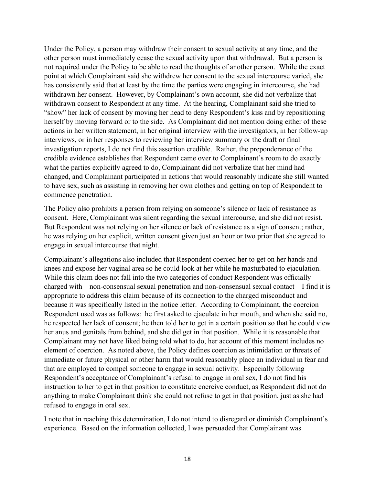Under the Policy, a person may withdraw their consent to sexual activity at any time, and the other person must immediately cease the sexual activity upon that withdrawal. But a person is not required under the Policy to be able to read the thoughts of another person. While the exact point at which Complainant said she withdrew her consent to the sexual intercourse varied, she has consistently said that at least by the time the parties were engaging in intercourse, she had withdrawn her consent. However, by Complainant's own account, she did not verbalize that withdrawn consent to Respondent at any time. At the hearing, Complainant said she tried to "show" her lack of consent by moving her head to deny Respondent's kiss and by repositioning herself by moving forward or to the side. As Complainant did not mention doing either of these actions in her written statement, in her original interview with the investigators, in her follow-up interviews, or in her responses to reviewing her interview summary or the draft or final investigation reports, I do not find this assertion credible. Rather, the preponderance of the credible evidence establishes that Respondent came over to Complainant's room to do exactly what the parties explicitly agreed to do, Complainant did not verbalize that her mind had changed, and Complainant participated in actions that would reasonably indicate she still wanted to have sex, such as assisting in removing her own clothes and getting on top of Respondent to commence penetration.

The Policy also prohibits a person from relying on someone's silence or lack of resistance as consent. Here, Complainant was silent regarding the sexual intercourse, and she did not resist. But Respondent was not relying on her silence or lack of resistance as a sign of consent; rather, he was relying on her explicit, written consent given just an hour or two prior that she agreed to engage in sexual intercourse that night.

Complainant's allegations also included that Respondent coerced her to get on her hands and knees and expose her vaginal area so he could look at her while he masturbated to ejaculation. While this claim does not fall into the two categories of conduct Respondent was officially charged with—non-consensual sexual penetration and non-consensual sexual contact—I find it is appropriate to address this claim because of its connection to the charged misconduct and because it was specifically listed in the notice letter. According to Complainant, the coercion Respondent used was as follows: he first asked to ejaculate in her mouth, and when she said no, he respected her lack of consent; he then told her to get in a certain position so that he could view her anus and genitals from behind, and she did get in that position. While it is reasonable that Complainant may not have liked being told what to do, her account of this moment includes no element of coercion. As noted above, the Policy defines coercion as intimidation or threats of immediate or future physical or other harm that would reasonably place an individual in fear and that are employed to compel someone to engage in sexual activity. Especially following Respondent's acceptance of Complainant's refusal to engage in oral sex, I do not find his instruction to her to get in that position to constitute coercive conduct, as Respondent did not do anything to make Complainant think she could not refuse to get in that position, just as she had refused to engage in oral sex.

I note that in reaching this determination, I do not intend to disregard or diminish Complainant's experience. Based on the information collected, I was persuaded that Complainant was